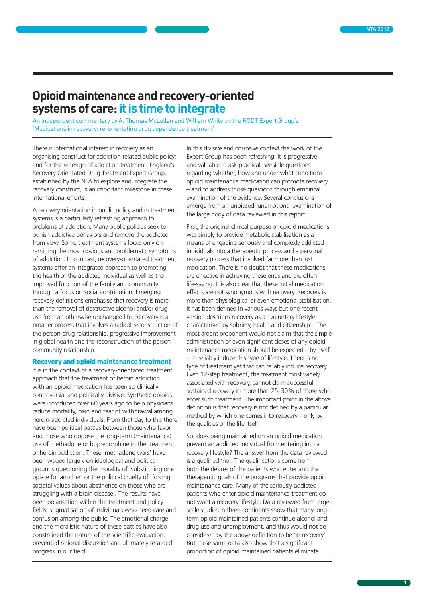## **Opioid maintenance and recovery-oriented systems of care: it is time to integrate**

An independent commentary by A. Thomas McLellan and William White on the RODT Expert Group's 'Medications in recovery: re-orientating drug dependence treatment'

There is international interest in recovery as an organising construct for addiction-related public policy; and for the redesign of addiction treatment. England's Recovery Orientated Drug Treatment Expert Group, established by the NTA to explore and integrate the recovery construct, is an important milestone in these international efforts.

A recovery orientation in public policy and in treatment systems is a particularly refreshing approach to problems of addiction. Many public policies seek to punish addictive behaviors and remove the addicted from view. Some treatment systems focus only on remitting the most obvious and problematic symptoms of addiction. In contrast, recovery-orientated treatment systems offer an integrated approach to promoting the health of the addicted individual as well as the improved function of the family and community through a focus on social contribution. Emerging recovery definitions emphasise that recovery is more than the removal of destructive alcohol and/or drug use from an otherwise unchanged life. Recovery is a broader process that involves a radical reconstruction of the person-drug relationship, progressive improvement in global health and the reconstruction of the personcommunity relationship.

## Recovery and opioid maintenance treatment

It is in the context of a recovery-orientated treatment approach that the treatment of heroin addiction with an opioid medication has been so clinically controversial and politically divisive. Synthetic opioids were introduced over 60 years ago to help physicians reduce mortality, pain and fear of withdrawal among heroin-addicted individuals. From that day to this there have been political battles between those who favor and those who oppose the long-term (maintenance) use of methadone or buprenorphine in the treatment of heroin addiction. These 'methadone wars' have been waged largely on ideological and political grounds questioning the morality of 'substituting one opiate for another' or the political cruelty of 'forcing societal values about abstinence on those who are struggling with a brain disease'. The results have been polarisation within the treatment and policy fields, stigmatisation of individuals who need care and confusion among the public. The emotional charge and the moralistic nature of these battles have also constrained the nature of the scientific evaluation, prevented rational discussion and ultimately retarded progress in our field.

In this divisive and corrosive context the work of the Expert Group has been refreshing. It is progressive and valuable to ask practical, sensible questions regarding whether, how and under what conditions opioid maintenance medication can promote recovery – and to address those questions through empirical examination of the evidence. Several conclusions emerge from an unbiased, unemotional examination of the large body of data reviewed in this report.

First, the original clinical purpose of opioid medications was simply to provide metabolic stabilisation as a means of engaging seriously and complexly addicted individuals into a therapeutic process and a personal recovery process that involved far more than just medication. There is no doubt that these medications are effective in achieving these ends and are often life-saving. It is also clear that these initial medication effects are not synonymous with recovery. Recovery is more than physiological or even emotional stabilisation. It has been defined in various ways but one recent version describes recovery as a "voluntary lifestyle characterised by sobriety, health and citizenship". The most ardent proponent would not claim that the simple administration of even significant doses of any opioid maintenance medication should be expected – by itself – to reliably induce this type of lifestyle. There is no type of treatment yet that can reliably induce recovery. Even 12-step treatment, the treatment most widely associated with recovery, cannot claim successful, sustained recovery in more than 25–30% of those who enter such treatment. The important point in the above definition is that recovery is not defined by a particular method by which one comes into recovery – only by the qualities of the life itself.

So, does being maintained on an opioid medication prevent an addicted individual from entering into a recovery lifestyle? The answer from the data reviewed is a qualified 'no'. The qualifications come from both the desires of the patients who enter and the therapeutic goals of the programs that provide opioid maintenance care. Many of the seriously addicted patients who enter opioid maintenance treatment do not want a recovery lifestyle. Data reviewed from largescale studies in three continents show that many longterm opioid maintained patients continue alcohol and drug use and unemployment, and thus would not be considered by the above definition to be 'in recovery'. But these same data also show that a significant proportion of opioid maintained patients eliminate